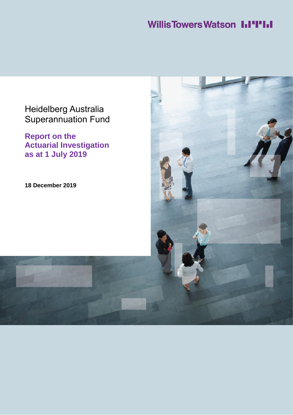## **Willis Towers Watson I.I'I'I.I**

## Heidelberg Australia Superannuation Fund

**Report on the Actuarial Investigation as at 1 July 2019**

**18 December 2019**

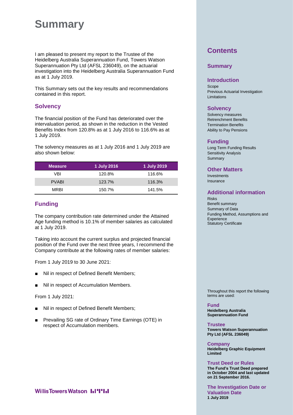## **Summary**

I am pleased to present my report to the Trustee of the Heidelberg Australia Superannuation Fund, Towers Watson Superannuation Pty Ltd (AFSL 236049), on the actuarial investigation into the Heidelberg Australia Superannuation Fund as at 1 July 2019.

This Summary sets out the key results and recommendations contained in this report.

## **Solvency**

The financial position of the Fund has deteriorated over the intervaluation period, as shown in the reduction in the Vested Benefits Index from 120.8% as at 1 July 2016 to 116.6% as at 1 July 2019.

The solvency measures as at 1 July 2016 and 1 July 2019 are also shown below:

| <b>Measure</b> | 1 July 2016 | 1 July 2019 |
|----------------|-------------|-------------|
| VBI            | 120.8%      | 116.6%      |
| <b>PVABI</b>   | 123.7%      | 116.3%      |
| <b>MRBI</b>    | 150.7%      | 141.5%      |

## **Funding**

The company contribution rate determined under the Attained Age funding method is 10.1% of member salaries as calculated at 1 July 2019.

Taking into account the current surplus and projected financial position of the Fund over the next three years, I recommend the Company contribute at the following rates of member salaries:

From 1 July 2019 to 30 June 2021:

- Nil in respect of Defined Benefit Members;
- Nil in respect of Accumulation Members.

From 1 July 2021:

- Nil in respect of Defined Benefit Members;
- Prevailing SG rate of Ordinary Time Earnings (OTE) in respect of Accumulation members.

## **Willis Towers Watson I.I'l'I.I**

## **Contents**

#### **Summary**

#### **Introduction**

Scope Previous Actuarial Investigation Limitations

### **Solvency**

Solvency measures Retrenchment Benefits Termination Benefits Ability to Pay Pensions

#### **Funding**

Long Term Funding Results Sensitivity Analysis Summary

### **Other Matters**

Investments Insurance

## **Additional information**

Risks Benefit summary Summary of Data Funding Method, Assumptions and **Experience** Statutory Certificate

Throughout this report the following terms are used:

**Fund Heidelberg Australia Superannuation Fund**

**Trustee Towers Watson Superannuation Pty Ltd (AFSL 236049)**

**Company Heidelberg Graphic Equipment Limited**

**Trust Deed or Rules The Fund's Trust Deed prepared in October 2004 and last updated on 21 September 2016.**

**The Investigation Date or Valuation Date 1 July 2019**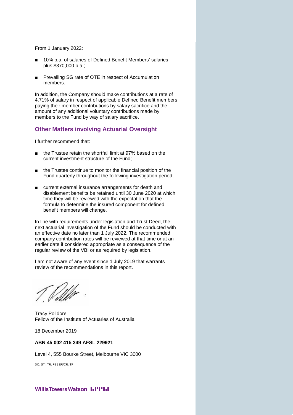From 1 January 2022:

- 10% p.a. of salaries of Defined Benefit Members' salaries plus \$370,000 p.a.;
- Prevailing SG rate of OTE in respect of Accumulation members.

In addition, the Company should make contributions at a rate of 4.71% of salary in respect of applicable Defined Benefit members paying their member contributions by salary sacrifice and the amount of any additional voluntary contributions made by members to the Fund by way of salary sacrifice.

## **Other Matters involving Actuarial Oversight**

I further recommend that:

- the Trustee retain the shortfall limit at 97% based on the current investment structure of the Fund;
- the Trustee continue to monitor the financial position of the Fund quarterly throughout the following investigation period;
- current external insurance arrangements for death and disablement benefits be retained until 30 June 2020 at which time they will be reviewed with the expectation that the formula to determine the insured component for defined benefit members will change.

In line with requirements under legislation and Trust Deed, the next actuarial investigation of the Fund should be conducted with an effective date no later than 1 July 2022. The recommended company contribution rates will be reviewed at that time or at an earlier date if considered appropriate as a consequence of the regular review of the VBI or as required by legislation.

I am not aware of any event since 1 July 2019 that warrants review of the recommendations in this report.

Tracy Polldore Fellow of the Institute of Actuaries of Australia

18 December 2019

#### **ABN 45 002 415 349 AFSL 229921**

Level 4, 555 Bourke Street, Melbourne VIC 3000

DO: ST | TR: FB | ER/CR: TP

#### **WillisTowersWatson I.I'I'I.I**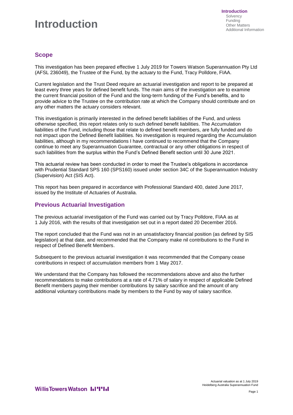## **Introduction**

## **Scope**

This investigation has been prepared effective 1 July 2019 for Towers Watson Superannuation Pty Ltd (AFSL 236049), the Trustee of the Fund, by the actuary to the Fund, Tracy Polldore, FIAA.

Current legislation and the Trust Deed require an actuarial investigation and report to be prepared at least every three years for defined benefit funds. The main aims of the investigation are to examine the current financial position of the Fund and the long-term funding of the Fund's benefits, and to provide advice to the Trustee on the contribution rate at which the Company should contribute and on any other matters the actuary considers relevant.

This investigation is primarily interested in the defined benefit liabilities of the Fund, and unless otherwise specified, this report relates only to such defined benefit liabilities. The Accumulation liabilities of the Fund, including those that relate to defined benefit members, are fully funded and do not impact upon the Defined Benefit liabilities. No investigation is required regarding the Accumulation liabilities, although in my recommendations I have continued to recommend that the Company continue to meet any Superannuation Guarantee, contractual or any other obligations in respect of such liabilities from the surplus within the Fund's Defined Benefit section until 30 June 2021.

This actuarial review has been conducted in order to meet the Trustee's obligations in accordance with Prudential Standard SPS 160 (SPS160) issued under section 34C of the Superannuation Industry (Supervision) Act (SIS Act).

This report has been prepared in accordance with Professional Standard 400, dated June 2017, issued by the Institute of Actuaries of Australia.

## **Previous Actuarial Investigation**

The previous actuarial investigation of the Fund was carried out by Tracy Polldore, FIAA as at 1 July 2016, with the results of that investigation set out in a report dated 20 December 2016.

The report concluded that the Fund was not in an unsatisfactory financial position (as defined by SIS legislation) at that date, and recommended that the Company make nil contributions to the Fund in respect of Defined Benefit Members.

Subsequent to the previous actuarial investigation it was recommended that the Company cease contributions in respect of accumulation members from 1 May 2017.

We understand that the Company has followed the recommendations above and also the further recommendations to make contributions at a rate of 4.71% of salary in respect of applicable Defined Benefit members paying their member contributions by salary sacrifice and the amount of any additional voluntary contributions made by members to the Fund by way of salary sacrifice.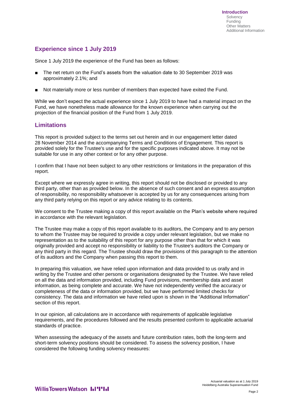## **Experience since 1 July 2019**

Since 1 July 2019 the experience of the Fund has been as follows:

- The net return on the Fund's assets from the valuation date to 30 September 2019 was approximately 2.1%; and
- Not materially more or less number of members than expected have exited the Fund.

While we don't expect the actual experience since 1 July 2019 to have had a material impact on the Fund, we have nonetheless made allowance for the known experience when carrying out the projection of the financial position of the Fund from 1 July 2019.

### **Limitations**

This report is provided subject to the terms set out herein and in our engagement letter dated 28 November 2014 and the accompanying Terms and Conditions of Engagement. This report is provided solely for the Trustee's use and for the specific purposes indicated above. It may not be suitable for use in any other context or for any other purpose.

I confirm that I have not been subject to any other restrictions or limitations in the preparation of this report.

Except where we expressly agree in writing, this report should not be disclosed or provided to any third party, other than as provided below. In the absence of such consent and an express assumption of responsibility, no responsibility whatsoever is accepted by us for any consequences arising from any third party relying on this report or any advice relating to its contents.

We consent to the Trustee making a copy of this report available on the Plan's website where required in accordance with the relevant legislation.

The Trustee may make a copy of this report available to its auditors, the Company and to any person to whom the Trustee may be required to provide a copy under relevant legislation, but we make no representation as to the suitability of this report for any purpose other than that for which it was originally provided and accept no responsibility or liability to the Trustee's auditors the Company or any third party in this regard. The Trustee should draw the provisions of this paragraph to the attention of its auditors and the Company when passing this report to them.

In preparing this valuation, we have relied upon information and data provided to us orally and in writing by the Trustee and other persons or organisations designated by the Trustee. We have relied on all the data and information provided, including Fund provisions, membership data and asset information, as being complete and accurate. We have not independently verified the accuracy or completeness of the data or information provided, but we have performed limited checks for consistency. The data and information we have relied upon is shown in the "Additional Information" section of this report.

In our opinion, all calculations are in accordance with requirements of applicable legislative requirements, and the procedures followed and the results presented conform to applicable actuarial standards of practice.

When assessing the adequacy of the assets and future contribution rates, both the long-term and short-term solvency positions should be considered. To assess the solvency position, I have considered the following funding solvency measures: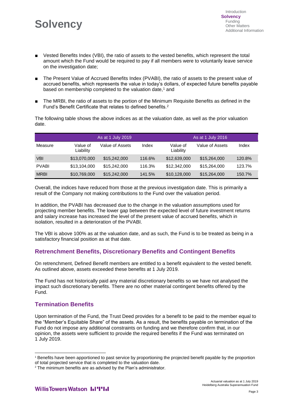- Vested Benefits Index (VBI), the ratio of assets to the vested benefits, which represent the total amount which the Fund would be required to pay if all members were to voluntarily leave service on the investigation date;
- The Present Value of Accrued Benefits Index (PVABI), the ratio of assets to the present value of accrued benefits, which represents the value in today's dollars, of expected future benefits payable based on membership completed to the valuation date,<sup>1</sup> and
- The MRBI, the ratio of assets to the portion of the Minimum Requisite Benefits as defined in the Fund's Benefit Certificate that relates to defined benefits.<sup>2</sup>

The following table shows the above indices as at the valuation date, as well as the prior valuation date.

|              |                       | As at 1 July 2019 |        |                       | As at 1 July 2016 |        |
|--------------|-----------------------|-------------------|--------|-----------------------|-------------------|--------|
| Measure      | Value of<br>Liability | Value of Assets   | Index  | Value of<br>Liability | Value of Assets   | Index  |
| <b>VBI</b>   | \$13,070,000          | \$15,242,000      | 116.6% | \$12,639,000          | \$15,264,000      | 120.8% |
| <b>PVABI</b> | \$13,104,000          | \$15,242,000      | 116.3% | \$12,342,000          | \$15,264,000      | 123.7% |
| <b>MRBI</b>  | \$10,769,000          | \$15,242,000      | 141.5% | \$10,128,000          | \$15,264,000      | 150.7% |

Overall, the indices have reduced from those at the previous investigation date. This is primarily a result of the Company not making contributions to the Fund over the valuation period.

In addition, the PVABI has decreased due to the change in the valuation assumptions used for projecting member benefits. The lower gap between the expected level of future investment returns and salary increase has increased the level of the present value of accrued benefits, which in isolation, resulted in a deterioration of the PVABI.

The VBI is above 100% as at the valuation date, and as such, the Fund is to be treated as being in a satisfactory financial position as at that date.

## **Retrenchment Benefits, Discretionary Benefits and Contingent Benefits**

On retrenchment, Defined Benefit members are entitled to a benefit equivalent to the vested benefit. As outlined above, assets exceeded these benefits at 1 July 2019.

The Fund has not historically paid any material discretionary benefits so we have not analysed the impact such discretionary benefits. There are no other material contingent benefits offered by the Fund.

## **Termination Benefits**

l

Upon termination of the Fund, the Trust Deed provides for a benefit to be paid to the member equal to the "Member's Equitable Share" of the assets. As a result, the benefits payable on termination of the Fund do not impose any additional constraints on funding and we therefore confirm that, in our opinion, the assets were sufficient to provide the required benefits if the Fund was terminated on 1 July 2019.

<sup>1</sup> Benefits have been apportioned to past service by proportioning the projected benefit payable by the proportion of total projected service that is completed to the valuation date.

<sup>&</sup>lt;sup>2</sup> The minimum benefits are as advised by the Plan's administrator.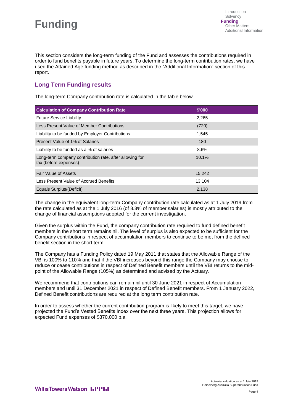## **Funding**

This section considers the long-term funding of the Fund and assesses the contributions required in order to fund benefits payable in future years. To determine the long-term contribution rates, we have used the Attained Age funding method as described in the "Additional Information" section of this report.

## **Long Term Funding results**

The long-term Company contribution rate is calculated in the table below.

| <b>Calculation of Company Contribution Rate</b>                                  | \$'000 |
|----------------------------------------------------------------------------------|--------|
| <b>Future Service Liability</b>                                                  | 2,265  |
| Less Present Value of Member Contributions                                       | (720)  |
| Liability to be funded by Employer Contributions                                 | 1,545  |
| Present Value of 1% of Salaries                                                  | 180    |
| Liability to be funded as a % of salaries                                        | 8.6%   |
| Long-term company contribution rate, after allowing for<br>tax (before expenses) | 10.1%  |
| <b>Fair Value of Assets</b>                                                      | 15,242 |
| Less Present Value of Accrued Benefits                                           | 13,104 |
| Equals Surplus/(Deficit)                                                         | 2,138  |

The change in the equivalent long-term Company contribution rate calculated as at 1 July 2019 from the rate calculated as at the 1 July 2016 (of 8.3% of member salaries) is mostly attributed to the change of financial assumptions adopted for the current investigation.

Given the surplus within the Fund, the company contribution rate required to fund defined benefit members in the short term remains nil. The level of surplus is also expected to be sufficient for the Company contributions in respect of accumulation members to continue to be met from the defined benefit section in the short term.

The Company has a Funding Policy dated 19 May 2011 that states that the Allowable Range of the VBI is 100% to 110% and that if the VBI increases beyond this range the Company may choose to reduce or cease contributions in respect of Defined Benefit members until the VBI returns to the midpoint of the Allowable Range (105%) as determined and advised by the Actuary.

We recommend that contributions can remain nil until 30 June 2021 in respect of Accumulation members and until 31 December 2021 in respect of Defined Benefit members. From 1 January 2022, Defined Benefit contributions are required at the long term contribution rate.

In order to assess whether the current contribution program is likely to meet this target, we have projected the Fund's Vested Benefits Index over the next three years. This projection allows for expected Fund expenses of \$370,000 p.a.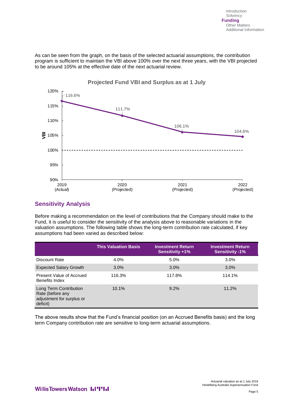As can be seen from the graph, on the basis of the selected actuarial assumptions, the contribution program is sufficient to maintain the VBI above 100% over the next three years, with the VBI projected to be around 105% at the effective date of the next actuarial review.



## **Sensitivity Analysis**

Before making a recommendation on the level of contributions that the Company should make to the Fund, it is useful to consider the sensitivity of the analysis above to reasonable variations in the valuation assumptions. The following table shows the long-term contribution rate calculated, if key assumptions had been varied as described below:

|                                                                                     | <b>This Valuation Basis</b> | <b>Investment Return</b><br><b>Sensitivity +1%</b> | <b>Investment Return</b><br><b>Sensitivity -1%</b> |
|-------------------------------------------------------------------------------------|-----------------------------|----------------------------------------------------|----------------------------------------------------|
| Discount Rate                                                                       | $4.0\%$                     | $5.0\%$                                            | 3.0%                                               |
| <b>Expected Salary Growth</b>                                                       | $3.0\%$                     | $3.0\%$                                            | 3.0%                                               |
| Present Value of Accrued<br>Benefits Index                                          | 116.3%                      | 117.8%                                             | 114.1%                                             |
| Long Term Contribution<br>Rate (before any<br>adjustment for surplus or<br>deficit) | 10.1%                       | $9.2\%$                                            | 11.2%                                              |

The above results show that the Fund's financial position (on an Accrued Benefits basis) and the long term Company contribution rate are sensitive to long-term actuarial assumptions.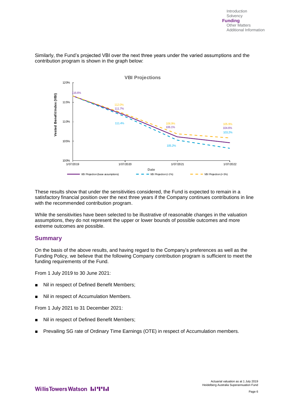Similarly, the Fund's projected VBI over the next three years under the varied assumptions and the contribution program is shown in the graph below:



These results show that under the sensitivities considered, the Fund is expected to remain in a satisfactory financial position over the next three years if the Company continues contributions in line with the recommended contribution program.

While the sensitivities have been selected to be illustrative of reasonable changes in the valuation assumptions, they do not represent the upper or lower bounds of possible outcomes and more extreme outcomes are possible.

## **Summary**

On the basis of the above results, and having regard to the Company's preferences as well as the Funding Policy, we believe that the following Company contribution program is sufficient to meet the funding requirements of the Fund.

From 1 July 2019 to 30 June 2021:

- Nil in respect of Defined Benefit Members;
- Nil in respect of Accumulation Members.

From 1 July 2021 to 31 December 2021:

- Nil in respect of Defined Benefit Members;
- Prevailing SG rate of Ordinary Time Earnings (OTE) in respect of Accumulation members.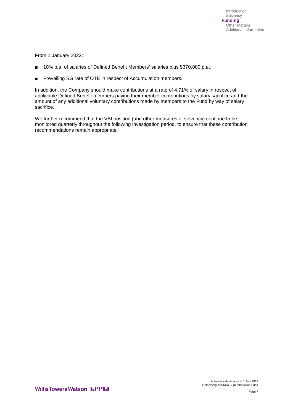From 1 January 2022:

- 10% p.a. of salaries of Defined Benefit Members' salaries plus \$370,000 p.a.;
- Prevailing SG rate of OTE in respect of Accumulation members.

In addition, the Company should make contributions at a rate of 4.71% of salary in respect of applicable Defined Benefit members paying their member contributions by salary sacrifice and the amount of any additional voluntary contributions made by members to the Fund by way of salary sacrifice.

We further recommend that the VBI position (and other measures of solvency) continue to be monitored quarterly throughout the following investigation period, to ensure that these contribution recommendations remain appropriate.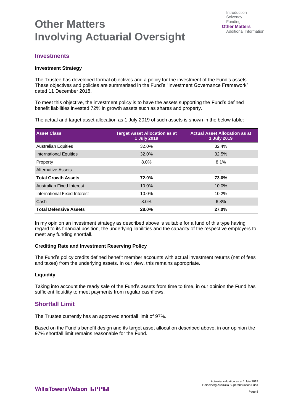## **Other Matters Involving Actuarial Oversight**

## **Investments**

#### **Investment Strategy**

The Trustee has developed formal objectives and a policy for the investment of the Fund's assets. These objectives and policies are summarised in the Fund's "Investment Governance Framework" dated 11 December 2018.

To meet this objective, the investment policy is to have the assets supporting the Fund's defined benefit liabilities invested 72% in growth assets such as shares and property.

The actual and target asset allocation as 1 July 2019 of such assets is shown in the below table:

| <b>Asset Class</b>               | <b>Target Asset Allocation as at</b><br>1 July 2019 | <b>Actual Asset Allocation as at</b><br>1 July 2019 |
|----------------------------------|-----------------------------------------------------|-----------------------------------------------------|
| <b>Australian Equities</b>       | 32.0%                                               | 32.4%                                               |
| <b>International Equities</b>    | 32.0%                                               | 32.5%                                               |
| Property                         | $8.0\%$                                             | 8.1%                                                |
| <b>Alternative Assets</b>        | $\overline{\phantom{a}}$                            | -                                                   |
| <b>Total Growth Assets</b>       | 72.0%                                               | 73.0%                                               |
| <b>Australian Fixed Interest</b> | $10.0\%$                                            | 10.0%                                               |
| International Fixed Interest     | $10.0\%$                                            | 10.2%                                               |
| Cash                             | 8.0%                                                | 6.8%                                                |
| <b>Total Defensive Assets</b>    | 28.0%                                               | 27.0%                                               |

In my opinion an investment strategy as described above is suitable for a fund of this type having regard to its financial position, the underlying liabilities and the capacity of the respective employers to meet any funding shortfall.

#### **Crediting Rate and Investment Reserving Policy**

The Fund's policy credits defined benefit member accounts with actual investment returns (net of fees and taxes) from the underlying assets. In our view, this remains appropriate.

#### **Liquidity**

Taking into account the ready sale of the Fund's assets from time to time, in our opinion the Fund has sufficient liquidity to meet payments from regular cashflows.

## **Shortfall Limit**

The Trustee currently has an approved shortfall limit of 97%.

Based on the Fund's benefit design and its target asset allocation described above, in our opinion the 97% shortfall limit remains reasonable for the Fund.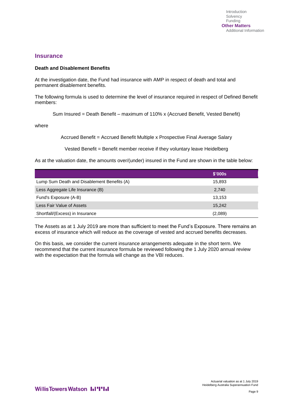#### **Insurance**

#### **Death and Disablement Benefits**

At the investigation date, the Fund had insurance with AMP in respect of death and total and permanent disablement benefits.

The following formula is used to determine the level of insurance required in respect of Defined Benefit members:

Sum Insured = Death Benefit – maximum of 110% x (Accrued Benefit, Vested Benefit)

where

Accrued Benefit = Accrued Benefit Multiple x Prospective Final Average Salary

Vested Benefit = Benefit member receive if they voluntary leave Heidelberg

As at the valuation date, the amounts over/(under) insured in the Fund are shown in the table below:

|                                             | \$'000s |
|---------------------------------------------|---------|
| Lump Sum Death and Disablement Benefits (A) | 15,893  |
| Less Aggregate Life Insurance (B)           | 2,740   |
| Fund's Exposure (A-B)                       | 13.153  |
| Less Fair Value of Assets                   | 15.242  |
| Shortfall/(Excess) in Insurance             | (2,089) |

The Assets as at 1 July 2019 are more than sufficient to meet the Fund's Exposure. There remains an excess of insurance which will reduce as the coverage of vested and accrued benefits decreases.

On this basis, we consider the current insurance arrangements adequate in the short term. We recommend that the current insurance formula be reviewed following the 1 July 2020 annual review with the expectation that the formula will change as the VBI reduces.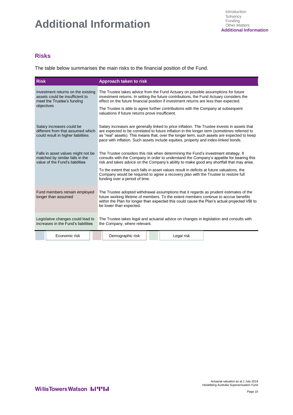# **Additional Information**

## **Risks**

The table below summarises the main risks to the financial position of the Fund.

| <b>Risk</b>                                                                                                                                                                                          |                                                                                                          |  | <b>Approach taken to risk</b>                                                                                                                                                                                                                                                                                                                                                    |  |            |  |
|------------------------------------------------------------------------------------------------------------------------------------------------------------------------------------------------------|----------------------------------------------------------------------------------------------------------|--|----------------------------------------------------------------------------------------------------------------------------------------------------------------------------------------------------------------------------------------------------------------------------------------------------------------------------------------------------------------------------------|--|------------|--|
| Investment returns on the existing<br>assets could be insufficient to<br>meet the Trustee's funding                                                                                                  |                                                                                                          |  | The Trustee takes advice from the Fund Actuary on possible assumptions for future<br>investment returns. In setting the future contributions, the Fund Actuary considers the<br>effect on the future financial position if investment returns are less than expected.                                                                                                            |  |            |  |
| objectives                                                                                                                                                                                           |                                                                                                          |  | The Trustee is able to agree further contributions with the Company at subsequent<br>valuations if future returns prove insufficient.                                                                                                                                                                                                                                            |  |            |  |
|                                                                                                                                                                                                      | Salary increases could be<br>different from that assumed which<br>could result in higher liabilities     |  | Salary increases are generally linked to price inflation. The Trustee invests in assets that<br>are expected to be correlated to future inflation in the longer term (sometimes referred to<br>as "real" assets). This means that, over the longer term, such assets are expected to keep<br>pace with inflation. Such assets include equities, property and index-linked bonds. |  |            |  |
|                                                                                                                                                                                                      | Falls in asset values might not be<br>matched by similar falls in the<br>value of the Fund's liabilities |  | The Trustee considers this risk when determining the Fund's investment strategy. It<br>consults with the Company in order to understand the Company's appetite for bearing this<br>risk and takes advice on the Company's ability to make good any shortfall that may arise.                                                                                                     |  |            |  |
|                                                                                                                                                                                                      |                                                                                                          |  | To the extent that such falls in asset values result in deficits at future valuations, the<br>Company would be required to agree a recovery plan with the Trustee to restore full<br>funding over a period of time.                                                                                                                                                              |  |            |  |
|                                                                                                                                                                                                      | Fund members remain employed<br>longer than assumed                                                      |  | The Trustee adopted withdrawal assumptions that it regards as prudent estimates of the<br>future working lifetime of members. To the extent members continue to accrue benefits<br>within the Plan for longer than expected this could cause the Plan's actual projected VBI to<br>be lower than expected.                                                                       |  |            |  |
| Legislative changes could lead to<br>The Trustee takes legal and actuarial advice on changes in legislation and consults with<br>increases in the Fund's liabilities<br>the Company, where relevant. |                                                                                                          |  |                                                                                                                                                                                                                                                                                                                                                                                  |  |            |  |
|                                                                                                                                                                                                      | Economic risk                                                                                            |  | Demographic risk                                                                                                                                                                                                                                                                                                                                                                 |  | Legal risk |  |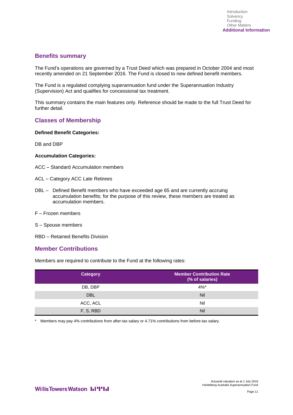## **Benefits summary**

The Fund's operations are governed by a Trust Deed which was prepared in October 2004 and most recently amended on 21 September 2016. The Fund is closed to new defined benefit members.

The Fund is a regulated complying superannuation fund under the Superannuation Industry (Supervision) Act and qualifies for concessional tax treatment.

This summary contains the main features only. Reference should be made to the full Trust Deed for further detail.

## **Classes of Membership**

#### **Defined Benefit Categories:**

DB and DBP

#### **Accumulation Categories:**

- ACC Standard Accumulation members
- ACL Category ACC Late Retirees
- DBL Defined Benefit members who have exceeded age 65 and are currently accruing accumulation benefits; for the purpose of this review, these members are treated as accumulation members.
- F Frozen members
- S Spouse members
- RBD Retained Benefits Division

#### **Member Contributions**

Members are required to contribute to the Fund at the following rates:

| <b>Category</b> | <b>Member Contribution Rate</b><br>(% of salaries) |
|-----------------|----------------------------------------------------|
| DB, DBP         | $4\%$ *                                            |
| <b>DBL</b>      | <b>Nil</b>                                         |
| ACC, ACL        | Nil                                                |
| F, S, RBD       | <b>Nil</b>                                         |

\* Members may pay 4% contributions from after-tax salary or 4.71% contributions from before-tax salary.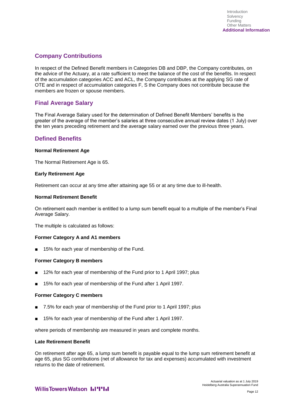## **Company Contributions**

In respect of the Defined Benefit members in Categories DB and DBP, the Company contributes, on the advice of the Actuary, at a rate sufficient to meet the balance of the cost of the benefits. In respect of the accumulation categories ACC and ACL, the Company contributes at the applying SG rate of OTE and in respect of accumulation categories F, S the Company does not contribute because the members are frozen or spouse members.

## **Final Average Salary**

The Final Average Salary used for the determination of Defined Benefit Members' benefits is the greater of the average of the member's salaries at three consecutive annual review dates (1 July) over the ten years preceding retirement and the average salary earned over the previous three years.

## **Defined Benefits**

#### **Normal Retirement Age**

The Normal Retirement Age is 65.

#### **Early Retirement Age**

Retirement can occur at any time after attaining age 55 or at any time due to ill-health.

#### **Normal Retirement Benefit**

On retirement each member is entitled to a lump sum benefit equal to a multiple of the member's Final Average Salary.

The multiple is calculated as follows:

#### **Former Category A and A1 members**

15% for each year of membership of the Fund.

#### **Former Category B members**

- 12% for each year of membership of the Fund prior to 1 April 1997; plus
- 15% for each year of membership of the Fund after 1 April 1997.

#### **Former Category C members**

- 7.5% for each year of membership of the Fund prior to 1 April 1997; plus
- 15% for each year of membership of the Fund after 1 April 1997.

where periods of membership are measured in years and complete months.

#### **Late Retirement Benefit**

On retirement after age 65, a lump sum benefit is payable equal to the lump sum retirement benefit at age 65, plus SG contributions (net of allowance for tax and expenses) accumulated with investment returns to the date of retirement.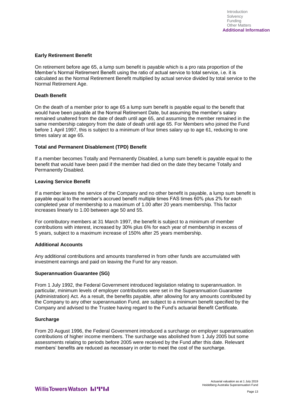#### **Early Retirement Benefit**

On retirement before age 65, a lump sum benefit is payable which is a pro rata proportion of the Member's Normal Retirement Benefit using the ratio of actual service to total service, i.e. it is calculated as the Normal Retirement Benefit multiplied by actual service divided by total service to the Normal Retirement Age.

#### **Death Benefit**

On the death of a member prior to age 65 a lump sum benefit is payable equal to the benefit that would have been payable at the Normal Retirement Date, but assuming the member's salary remained unaltered from the date of death until age 65, and assuming the member remained in the same membership category from the date of death until age 65. For Members who joined the Fund before 1 April 1997, this is subject to a minimum of four times salary up to age 61, reducing to one times salary at age 65.

#### **Total and Permanent Disablement (TPD) Benefit**

If a member becomes Totally and Permanently Disabled, a lump sum benefit is payable equal to the benefit that would have been paid if the member had died on the date they became Totally and Permanently Disabled.

#### **Leaving Service Benefit**

If a member leaves the service of the Company and no other benefit is payable, a lump sum benefit is payable equal to the member's accrued benefit multiple times FAS times 60% plus 2% for each completed year of membership to a maximum of 1.00 after 20 years membership. This factor increases linearly to 1.00 between age 50 and 55.

For contributory members at 31 March 1997, the benefit is subject to a minimum of member contributions with interest, increased by 30% plus 6% for each year of membership in excess of 5 years, subject to a maximum increase of 150% after 25 years membership.

#### **Additional Accounts**

Any additional contributions and amounts transferred in from other funds are accumulated with investment earnings and paid on leaving the Fund for any reason.

#### **Superannuation Guarantee (SG)**

From 1 July 1992, the Federal Government introduced legislation relating to superannuation. In particular, minimum levels of employer contributions were set in the Superannuation Guarantee (Administration) Act. As a result, the benefits payable, after allowing for any amounts contributed by the Company to any other superannuation Fund, are subject to a minimum benefit specified by the Company and advised to the Trustee having regard to the Fund's actuarial Benefit Certificate.

#### **Surcharge**

From 20 August 1996, the Federal Government introduced a surcharge on employer superannuation contributions of higher income members. The surcharge was abolished from 1 July 2005 but some assessments relating to periods before 2005 were received by the Fund after this date. Relevant members' benefits are reduced as necessary in order to meet the cost of the surcharge.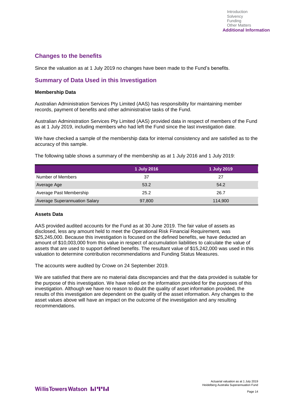## **Changes to the benefits**

Since the valuation as at 1 July 2019 no changes have been made to the Fund's benefits.

## **Summary of Data Used in this Investigation**

#### **Membership Data**

Australian Administration Services Pty Limited (AAS) has responsibility for maintaining member records, payment of benefits and other administrative tasks of the Fund.

Australian Administration Services Pty Limited (AAS) provided data in respect of members of the Fund as at 1 July 2019, including members who had left the Fund since the last investigation date.

We have checked a sample of the membership data for internal consistency and are satisfied as to the accuracy of this sample.

The following table shows a summary of the membership as at 1 July 2016 and 1 July 2019:

|                                      | 1 July 2016 | 1 July 2019 |
|--------------------------------------|-------------|-------------|
| Number of Members                    | 37          | 27          |
| Average Age                          | 53.2        | 54.2        |
| Average Past Membership              | 25.2        | 26.7        |
| <b>Average Superannuation Salary</b> | 97,800      | 114,900     |

#### **Assets Data**

AAS provided audited accounts for the Fund as at 30 June 2019. The fair value of assets as disclosed, less any amount held to meet the Operational Risk Financial Requirement, was \$25,245,000. Because this investigation is focused on the defined benefits, we have deducted an amount of \$10,003,000 from this value in respect of accumulation liabilities to calculate the value of assets that are used to support defined benefits. The resultant value of \$15,242,000 was used in this valuation to determine contribution recommendations and Funding Status Measures.

The accounts were audited by Crowe on 24 September 2019.

We are satisfied that there are no material data discrepancies and that the data provided is suitable for the purpose of this investigation. We have relied on the information provided for the purposes of this investigation. Although we have no reason to doubt the quality of asset information provided, the results of this investigation are dependent on the quality of the asset information. Any changes to the asset values above will have an impact on the outcome of the investigation and any resulting recommendations.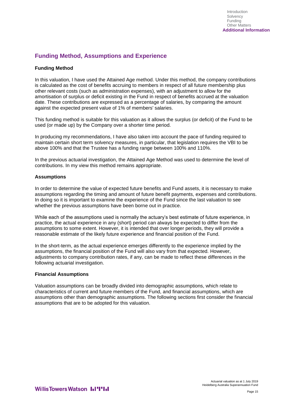## **Funding Method, Assumptions and Experience**

#### **Funding Method**

In this valuation, I have used the Attained Age method. Under this method, the company contributions is calculated as the cost of benefits accruing to members in respect of all future membership plus other relevant costs (such as administration expenses), with an adjustment to allow for the amortisation of surplus or deficit existing in the Fund in respect of benefits accrued at the valuation date. These contributions are expressed as a percentage of salaries, by comparing the amount against the expected present value of 1% of members' salaries.

This funding method is suitable for this valuation as it allows the surplus (or deficit) of the Fund to be used (or made up) by the Company over a shorter time period.

In producing my recommendations, I have also taken into account the pace of funding required to maintain certain short term solvency measures, in particular, that legislation requires the VBI to be above 100% and that the Trustee has a funding range between 100% and 110%.

In the previous actuarial investigation, the Attained Age Method was used to determine the level of contributions. In my view this method remains appropriate.

#### **Assumptions**

In order to determine the value of expected future benefits and Fund assets, it is necessary to make assumptions regarding the timing and amount of future benefit payments, expenses and contributions. In doing so it is important to examine the experience of the Fund since the last valuation to see whether the previous assumptions have been borne out in practice.

While each of the assumptions used is normally the actuary's best estimate of future experience, in practice, the actual experience in any (short) period can always be expected to differ from the assumptions to some extent. However, it is intended that over longer periods, they will provide a reasonable estimate of the likely future experience and financial position of the Fund.

In the short-term, as the actual experience emerges differently to the experience implied by the assumptions, the financial position of the Fund will also vary from that expected. However, adjustments to company contribution rates, if any, can be made to reflect these differences in the following actuarial investigation.

#### **Financial Assumptions**

Valuation assumptions can be broadly divided into demographic assumptions, which relate to characteristics of current and future members of the Fund, and financial assumptions, which are assumptions other than demographic assumptions. The following sections first consider the financial assumptions that are to be adopted for this valuation.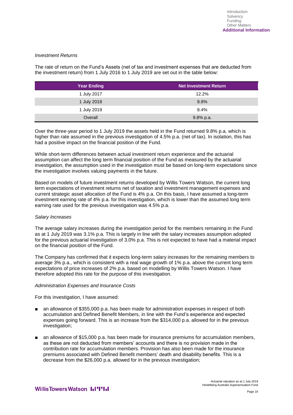#### *Investment Returns*

The rate of return on the Fund's Assets (net of tax and investment expenses that are deducted from the investment return) from 1 July 2016 to 1 July 2019 are set out in the table below:

| <b>Year Ending</b> | <b>Net Investment Return</b> |
|--------------------|------------------------------|
| 1 July 2017        | 12.2%                        |
| 1 July 2018        | 8.8%                         |
| 1 July 2019        | 8.4%                         |
| Overall            | 9.8% p.a.                    |

Over the three-year period to 1 July 2019 the assets held in the Fund returned 9.8% p.a. which is higher than rate assumed in the previous investigation of 4.5% p.a. (net of tax). In isolation, this has had a positive impact on the financial position of the Fund.

While short-term differences between actual investment return experience and the actuarial assumption can affect the long term financial position of the Fund as measured by the actuarial investigation, the assumption used in the investigation must be based on long-term expectations since the investigation involves valuing payments in the future.

Based on models of future investment returns developed by Willis Towers Watson, the current long term expectations of investment returns net of taxation and investment management expenses and current strategic asset allocation of the Fund is 4% p.a. On this basis, I have assumed a long-term investment earning rate of 4% p.a. for this investigation, which is lower than the assumed long term earning rate used for the previous investigation was 4.5% p.a.

#### *Salary Increases*

The average salary increases during the investigation period for the members remaining in the Fund as at 1 July 2019 was 3.1% p.a. This is largely in line with the salary increases assumption adopted for the previous actuarial investigation of 3.0% p.a. This is not expected to have had a material impact on the financial position of the Fund.

The Company has confirmed that it expects long-term salary increases for the remaining members to average 3% p.a., which is consistent with a real wage growth of 1% p.a. above the current long term expectations of price increases of 2% p.a. based on modelling by Willis Towers Watson. I have therefore adopted this rate for the purpose of this investigation.

#### *Administration Expenses and Insurance Costs*

For this investigation, I have assumed:

- an allowance of \$355,000 p.a. has been made for administration expenses in respect of both accumulation and Defined Benefit Members, in line with the Fund's experience and expected expenses going forward. This is an increase from the \$314,000 p.a. allowed for in the previous investigation:
- an allowance of \$15,000 p.a. has been made for insurance premiums for accumulation members, as these are not deducted from members' accounts and there is no provision made in the contribution rate for accumulation members. Provision has also been made for the insurance premiums associated with Defined Benefit members' death and disability benefits. This is a decrease from the \$26,000 p.a. allowed for in the previous investigation;

Actuarial valuation as at 1 July 2019 Heidelberg Australia Superannuation Fund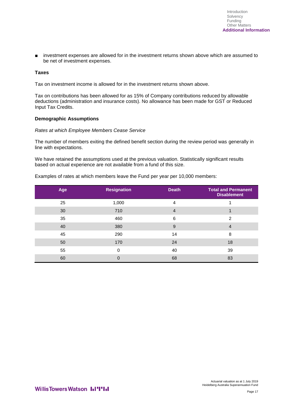■ investment expenses are allowed for in the investment returns shown above which are assumed to be net of investment expenses.

#### **Taxes**

Tax on investment income is allowed for in the investment returns shown above.

Tax on contributions has been allowed for as 15% of Company contributions reduced by allowable deductions (administration and insurance costs). No allowance has been made for GST or Reduced Input Tax Credits.

#### **Demographic Assumptions**

#### *Rates at which Employee Members Cease Service*

The number of members exiting the defined benefit section during the review period was generally in line with expectations.

We have retained the assumptions used at the previous valuation. Statistically significant results based on actual experience are not available from a fund of this size.

Examples of rates at which members leave the Fund per year per 10,000 members:

| Age | <b>Resignation</b> | <b>Death</b>   | <b>Total and Permanent</b><br><b>Disablement</b> |
|-----|--------------------|----------------|--------------------------------------------------|
| 25  | 1,000              | $\overline{4}$ |                                                  |
| 30  | 710                | $\overline{4}$ |                                                  |
| 35  | 460                | 6              | 2                                                |
| 40  | 380                | 9              | $\overline{4}$                                   |
| 45  | 290                | 14             | 8                                                |
| 50  | 170                | 24             | 18                                               |
| 55  | 0                  | 40             | 39                                               |
| 60  | 0                  | 68             | 83                                               |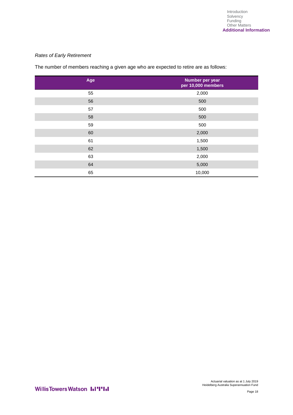#### *Rates of Early Retirement*

The number of members reaching a given age who are expected to retire are as follows:

| Age | Number per year<br>per 10,000 members |
|-----|---------------------------------------|
| 55  | 2,000                                 |
| 56  | 500                                   |
| 57  | 500                                   |
| 58  | 500                                   |
| 59  | 500                                   |
| 60  | 2,000                                 |
| 61  | 1,500                                 |
| 62  | 1,500                                 |
| 63  | 2,000                                 |
| 64  | 5,000                                 |
| 65  | 10,000                                |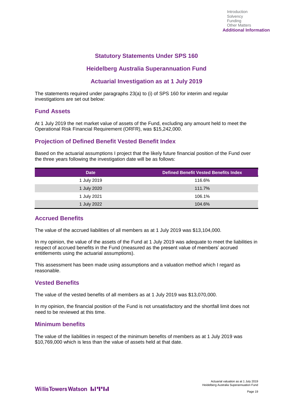## **Statutory Statements Under SPS 160**

## **Heidelberg Australia Superannuation Fund**

## **Actuarial Investigation as at 1 July 2019**

The statements required under paragraphs 23(a) to (i) of SPS 160 for interim and regular investigations are set out below:

### **Fund Assets**

At 1 July 2019 the net market value of assets of the Fund, excluding any amount held to meet the Operational Risk Financial Requirement (ORFR), was \$15,242,000.

## **Projection of Defined Benefit Vested Benefit Index**

Based on the actuarial assumptions I project that the likely future financial position of the Fund over the three years following the investigation date will be as follows:

| <b>Date</b> | <b>Defined Benefit Vested Benefits Index</b> |
|-------------|----------------------------------------------|
| 1 July 2019 | 116.6%                                       |
| 1 July 2020 | 111.7%                                       |
| 1 July 2021 | 106.1%                                       |
| 1 July 2022 | 104.6%                                       |

## **Accrued Benefits**

The value of the accrued liabilities of all members as at 1 July 2019 was \$13,104,000.

In my opinion, the value of the assets of the Fund at 1 July 2019 was adequate to meet the liabilities in respect of accrued benefits in the Fund (measured as the present value of members' accrued entitlements using the actuarial assumptions).

This assessment has been made using assumptions and a valuation method which I regard as reasonable.

## **Vested Benefits**

The value of the vested benefits of all members as at 1 July 2019 was \$13,070,000.

In my opinion, the financial position of the Fund is not unsatisfactory and the shortfall limit does not need to be reviewed at this time.

## **Minimum benefits**

The value of the liabilities in respect of the minimum benefits of members as at 1 July 2019 was \$10,769,000 which is less than the value of assets held at that date.